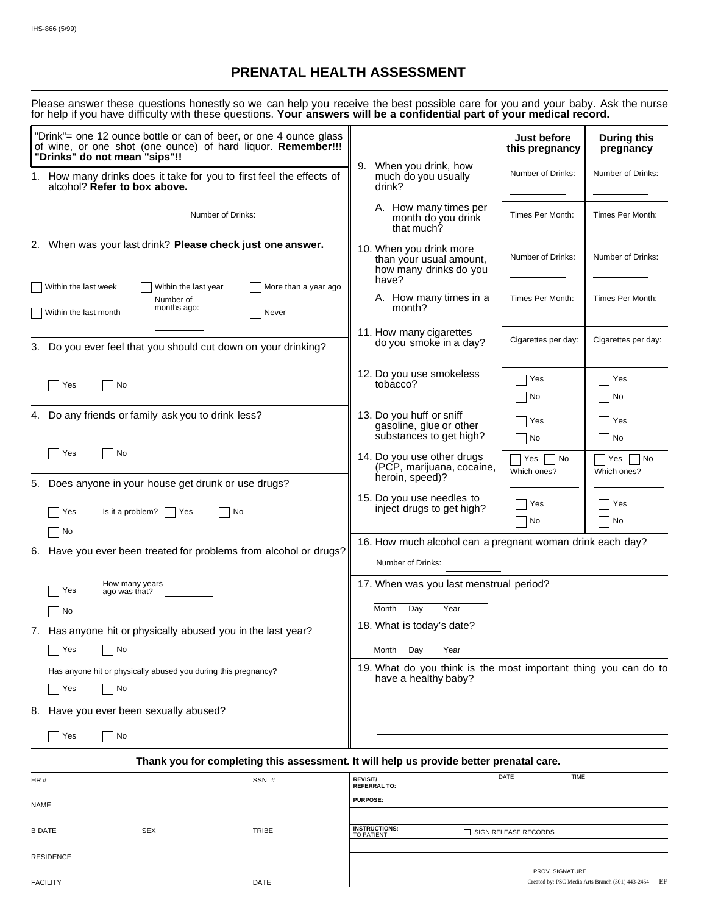# **PRENATAL HEALTH ASSESSMENT**

| Please answer these questions honestly so we can help you receive the best possible care for you and your baby. Ask the nurse |  |  |
|-------------------------------------------------------------------------------------------------------------------------------|--|--|
| for help if you have difficulty with these questions. Your answers will be a confidential part of your medical record.        |  |  |

| "Drink"= one 12 ounce bottle or can of beer, or one 4 ounce glass<br>of wine, or one shot (one ounce) of hard liquor. Remember!!!<br>"Drinks" do not mean "sips"!! |                                                                                         | Just before<br>this pregnancy | <b>During this</b><br>pregnancy |  |
|--------------------------------------------------------------------------------------------------------------------------------------------------------------------|-----------------------------------------------------------------------------------------|-------------------------------|---------------------------------|--|
| 1. How many drinks does it take for you to first feel the effects of<br>alcohol? Refer to box above.                                                               | 9. When you drink, how<br>much do you usually<br>drink?                                 | Number of Drinks:             | Number of Drinks:               |  |
| Number of Drinks:                                                                                                                                                  | A. How many times per<br>month do you drink<br>that much?                               | Times Per Month:              | Times Per Month:                |  |
| 2. When was your last drink? Please check just one answer.                                                                                                         | 10. When you drink more<br>than your usual amount,<br>how many drinks do you            | Number of Drinks:             | Number of Drinks:               |  |
| Within the last week<br>More than a year ago<br>Within the last year<br>Number of<br>months ago:<br>Within the last month<br>Never                                 | have?<br>A. How many times in a<br>month?                                               | Times Per Month:              | Times Per Month:                |  |
| 3. Do you ever feel that you should cut down on your drinking?                                                                                                     | 11. How many cigarettes<br>do you smoke in a day?                                       | Cigarettes per day:           | Cigarettes per day:             |  |
| No<br>  Yes                                                                                                                                                        | 12. Do you use smokeless<br>tobacco?                                                    | Yes<br>No                     | Yes<br>No                       |  |
| 4. Do any friends or family ask you to drink less?                                                                                                                 | 13. Do you huff or sniff<br>gasoline, glue or other<br>substances to get high?          | Yes<br>No                     | Yes<br>No                       |  |
| ∣ Yes<br>No<br>5. Does anyone in your house get drunk or use drugs?                                                                                                | 14. Do you use other drugs<br>(PCP, marijuana, cocaine,<br>heroin, speed)?              | Yes<br>No<br>Which ones?      | Yes<br>No<br>Which ones?        |  |
| Yes<br>Is it a problem? $ $ $ $ Yes<br>No<br>No                                                                                                                    | 15. Do you use needles to<br>inject drugs to get high?                                  | Yes<br>No                     | Yes<br>No                       |  |
| 6. Have you ever been treated for problems from alcohol or drugs?                                                                                                  | 16. How much alcohol can a pregnant woman drink each day?<br>Number of Drinks:          |                               |                                 |  |
| How many years<br>Yes<br>ago was that?                                                                                                                             | 17. When was you last menstrual period?                                                 |                               |                                 |  |
| No                                                                                                                                                                 | Month<br>Day<br>Year<br>18. What is today's date?                                       |                               |                                 |  |
| 7. Has anyone hit or physically abused you in the last year?                                                                                                       |                                                                                         |                               |                                 |  |
| No<br>Yes                                                                                                                                                          | Month<br>Day<br>Year                                                                    |                               |                                 |  |
| Has anyone hit or physically abused you during this pregnancy?                                                                                                     | 19. What do you think is the most important thing you can do to<br>have a healthy baby? |                               |                                 |  |
| Yes<br>No                                                                                                                                                          |                                                                                         |                               |                                 |  |
| 8. Have you ever been sexually abused?                                                                                                                             |                                                                                         |                               |                                 |  |
| ∣ Yes<br>No                                                                                                                                                        |                                                                                         |                               |                                 |  |
| Thank you for completing this assessment. It will help us provide better prenatal care.                                                                            |                                                                                         |                               |                                 |  |

| HR#              |            | SSN #       | <b>REVISIT/</b><br><b>REFERRAL TO:</b> | DATE                   | <b>TIME</b>                                            |
|------------------|------------|-------------|----------------------------------------|------------------------|--------------------------------------------------------|
| <b>NAME</b>      |            |             | <b>PURPOSE:</b>                        |                        |                                                        |
|                  |            |             |                                        |                        |                                                        |
| <b>B DATE</b>    | <b>SEX</b> | TRIBE       | <b>INSTRUCTIONS:</b><br>TO PATIENT:    | □ SIGN RELEASE RECORDS |                                                        |
| <b>RESIDENCE</b> |            |             |                                        |                        |                                                        |
|                  |            |             |                                        | PROV. SIGNATURE        |                                                        |
| <b>FACILITY</b>  |            | <b>DATE</b> |                                        |                        | EF<br>Created by: PSC Media Arts Branch (301) 443-2454 |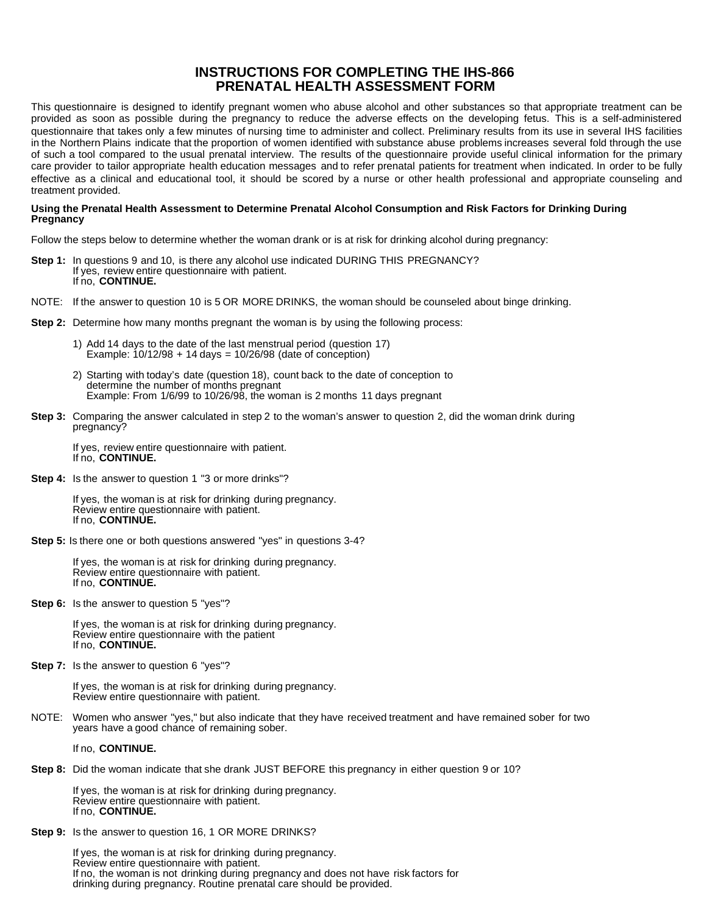## **INSTRUCTIONS FOR COMPLETING THE IHS-866 PRENATAL HEALTH ASSESSMENT FORM**

This questionnaire is designed to identify pregnant women who abuse alcohol and other substances so that appropriate treatment can be provided as soon as possible during the pregnancy to reduce the adverse effects on the developing fetus. This is a self-administered questionnaire that takes only a few minutes of nursing time to administer and collect. Preliminary results from its use in several IHS facilities in the Northern Plains indicate that the proportion of women identified with substance abuse problems increases several fold through the use of such a tool compared to the usual prenatal interview. The results of the questionnaire provide useful clinical information for the primary care provider to tailor appropriate health education messages and to refer prenatal patients for treatment when indicated. In order to be fully effective as a clinical and educational tool, it should be scored by a nurse or other health professional and appropriate counseling and treatment provided.

#### **Using the Prenatal Health Assessment to Determine Prenatal Alcohol Consumption and Risk Factors for Drinking During Pregnancy**

Follow the steps below to determine whether the woman drank or is at risk for drinking alcohol during pregnancy:

- **Step 1:** In questions 9 and 10, is there any alcohol use indicated DURING THIS PREGNANCY? If yes, review entire questionnaire with patient. If no, **CONTINUE.**
- NOTE: If the answer to question 10 is 5 OR MORE DRINKS, the woman should be counseled about binge drinking.
- **Step 2:** Determine how many months pregnant the woman is by using the following process:
	- 1) Add 14 days to the date of the last menstrual period (question 17) Example: 10/12/98 + 14 days = 10/26/98 (date of conception)
	- 2) Starting with today's date (question 18), count back to the date of conception to determine the number of months pregnant Example: From 1/6/99 to 10/26/98, the woman is 2 months 11 days pregnant
- **Step 3:** Comparing the answer calculated in step 2 to the woman's answer to question 2, did the woman drink during pregnancy?

If yes, review entire questionnaire with patient. If no, **CONTINUE.** 

**Step 4:** Is the answer to question 1 "3 or more drinks"?

If yes, the woman is at risk for drinking during pregnancy. Review entire questionnaire with patient. If no, **CONTINUE.** 

**Step 5:** Is there one or both questions answered "yes" in questions 3-4?

If yes, the woman is at risk for drinking during pregnancy. Review entire questionnaire with patient. If no, **CONTINUE.** 

**Step 6:** Is the answer to question 5 "yes"?

If yes, the woman is at risk for drinking during pregnancy. Review entire questionnaire with the patient If no, **CONTINUE.** 

**Step 7:** Is the answer to question 6 "yes"?

If yes, the woman is at risk for drinking during pregnancy. Review entire questionnaire with patient.

NOTE: Women who answer "yes," but also indicate that they have received treatment and have remained sober for two years have a good chance of remaining sober.

If no, **CONTINUE.** 

**Step 8:** Did the woman indicate that she drank JUST BEFORE this pregnancy in either question 9 or 10?

If yes, the woman is at risk for drinking during pregnancy. Review entire questionnaire with patient. If no, **CONTINUE.** 

**Step 9:** Is the answer to question 16, 1 OR MORE DRINKS?

If yes, the woman is at risk for drinking during pregnancy. Review entire questionnaire with patient. If no, the woman is not drinking during pregnancy and does not have risk factors for drinking during pregnancy. Routine prenatal care should be provided.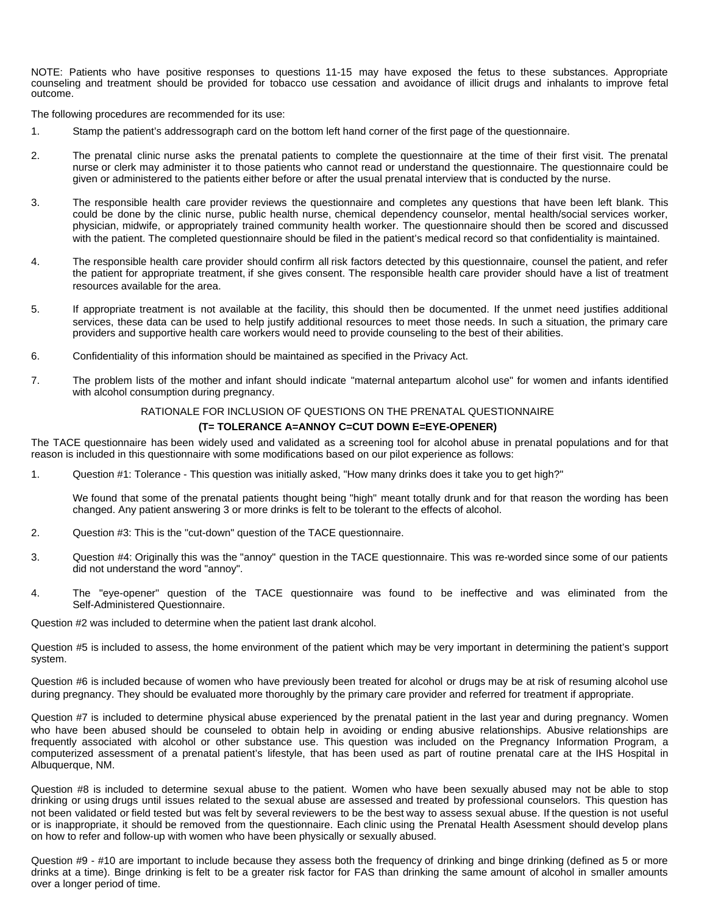NOTE: Patients who have positive responses to questions 11-15 may have exposed the fetus to these substances. Appropriate counseling and treatment should be provided for tobacco use cessation and avoidance of illicit drugs and inhalants to improve fetal outcome.

The following procedures are recommended for its use:

- 1. Stamp the patient's addressograph card on the bottom left hand corner of the first page of the questionnaire.
- 2. The prenatal clinic nurse asks the prenatal patients to complete the questionnaire at the time of their first visit. The prenatal nurse or clerk may administer it to those patients who cannot read or understand the questionnaire. The questionnaire could be given or administered to the patients either before or after the usual prenatal interview that is conducted by the nurse.
- 3. The responsible health care provider reviews the questionnaire and completes any questions that have been left blank. This could be done by the clinic nurse, public health nurse, chemical dependency counselor, mental health/social services worker, physician, midwife, or appropriately trained community health worker. The questionnaire should then be scored and discussed with the patient. The completed questionnaire should be filed in the patient's medical record so that confidentiality is maintained.
- 4. The responsible health care provider should confirm all risk factors detected by this questionnaire, counsel the patient, and refer the patient for appropriate treatment, if she gives consent. The responsible health care provider should have a list of treatment resources available for the area.
- 5. If appropriate treatment is not available at the facility, this should then be documented. If the unmet need justifies additional services, these data can be used to help justify additional resources to meet those needs. In such a situation, the primary care providers and supportive health care workers would need to provide counseling to the best of their abilities.
- 6. Confidentiality of this information should be maintained as specified in the Privacy Act.
- 7. The problem lists of the mother and infant should indicate "maternal antepartum alcohol use" for women and infants identified with alcohol consumption during pregnancy.

### RATIONALE FOR INCLUSION OF QUESTIONS ON THE PRENATAL QUESTIONNAIRE

#### **(T= TOLERANCE A=ANNOY C=CUT DOWN E=EYE-OPENER)**

The TACE questionnaire has been widely used and validated as a screening tool for alcohol abuse in prenatal populations and for that reason is included in this questionnaire with some modifications based on our pilot experience as follows:

1. Question #1: Tolerance - This question was initially asked, "How many drinks does it take you to get high?"

We found that some of the prenatal patients thought being "high" meant totally drunk and for that reason the wording has been changed. Any patient answering 3 or more drinks is felt to be tolerant to the effects of alcohol.

- 2. Question #3: This is the "cut-down" question of the TACE questionnaire.
- 3. Question #4: Originally this was the "annoy" question in the TACE questionnaire. This was re-worded since some of our patients did not understand the word "annoy".
- 4. The "eye-opener" question of the TACE questionnaire was found to be ineffective and was eliminated from the Self-Administered Questionnaire.

Question #2 was included to determine when the patient last drank alcohol.

Question #5 is included to assess, the home environment of the patient which may be very important in determining the patient's support system.

Question #6 is included because of women who have previously been treated for alcohol or drugs may be at risk of resuming alcohol use during pregnancy. They should be evaluated more thoroughly by the primary care provider and referred for treatment if appropriate.

Question #7 is included to determine physical abuse experienced by the prenatal patient in the last year and during pregnancy. Women who have been abused should be counseled to obtain help in avoiding or ending abusive relationships. Abusive relationships are frequently associated with alcohol or other substance use. This question was included on the Pregnancy Information Program, a computerized assessment of a prenatal patient's lifestyle, that has been used as part of routine prenatal care at the IHS Hospital in Albuquerque, NM.

Question #8 is included to determine sexual abuse to the patient. Women who have been sexually abused may not be able to stop drinking or using drugs until issues related to the sexual abuse are assessed and treated by professional counselors. This question has not been validated or field tested but was felt by several reviewers to be the best way to assess sexual abuse. If the question is not useful or is inappropriate, it should be removed from the questionnaire. Each clinic using the Prenatal Health Asessment should develop plans on how to refer and follow-up with women who have been physically or sexually abused.

Question #9 - #10 are important to include because they assess both the frequency of drinking and binge drinking (defined as 5 or more drinks at a time). Binge drinking is felt to be a greater risk factor for FAS than drinking the same amount of alcohol in smaller amounts over a longer period of time.